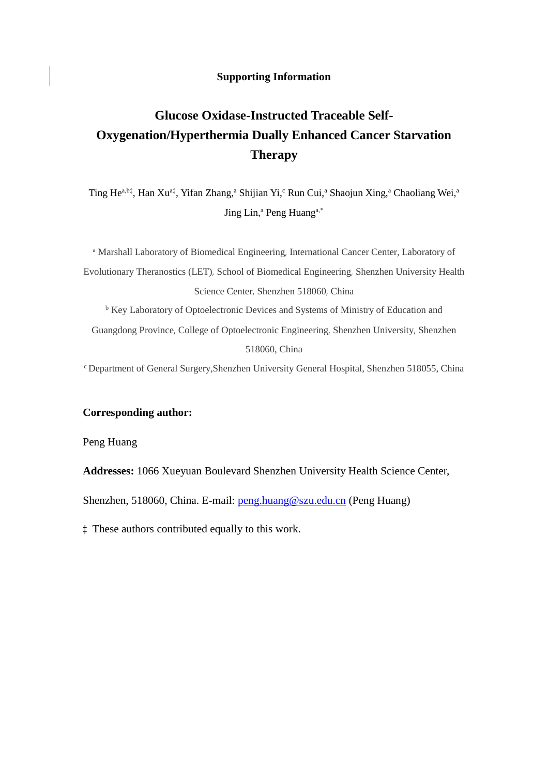## **Supporting Information**

## **Glucose Oxidase-Instructed Traceable Self-Oxygenation/Hyperthermia Dually Enhanced Cancer Starvation Therapy**

Ting He<sup>a,b‡</sup>, Han Xu<sup>a‡</sup>, Yifan Zhang,<sup>a</sup> Shijian Yi,<sup>c</sup> Run Cui,<sup>a</sup> Shaojun Xing,<sup>a</sup> Chaoliang Wei,<sup>a</sup> Jing Lin,<sup>a</sup> Peng Huang<sup>a,\*</sup>

<sup>a</sup> Marshall Laboratory of Biomedical Engineering, International Cancer Center, Laboratory of Evolutionary Theranostics (LET), School of Biomedical Engineering, Shenzhen University Health Science Center, Shenzhen 518060, China <sup>b</sup> Key Laboratory of Optoelectronic Devices and Systems of Ministry of Education and

Guangdong Province, College of Optoelectronic Engineering, Shenzhen University, Shenzhen 518060, China

<sup>c</sup>Department of General Surgery,Shenzhen University General Hospital, Shenzhen 518055, China

## **Corresponding author:**

Peng Huang

**Addresses:** 1066 Xueyuan Boulevard Shenzhen University Health Science Center,

Shenzhen, 518060, China. E-mail: [peng.huang@szu.edu.cn](mailto:peng.huang@szu.edu.cn) (Peng Huang)

‡ These authors contributed equally to this work.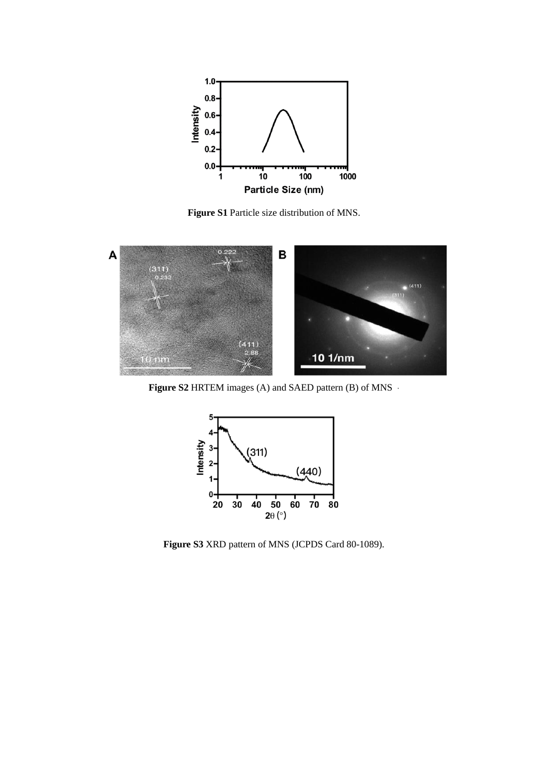

**Figure S1** Particle size distribution of MNS.



**Figure S2** HRTEM images (A) and SAED pattern (B) of MNS ·



**Figure S3** XRD pattern of MNS (JCPDS Card 80-1089).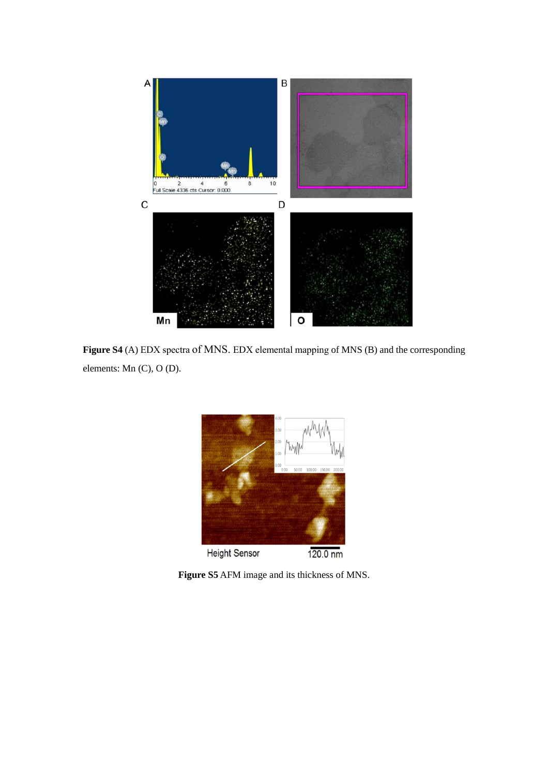

**Figure S4** (A) EDX spectra of MNS. EDX elemental mapping of MNS (B) and the corresponding elements: Mn (C), O (D).



**Figure S5** AFM image and its thickness of MNS.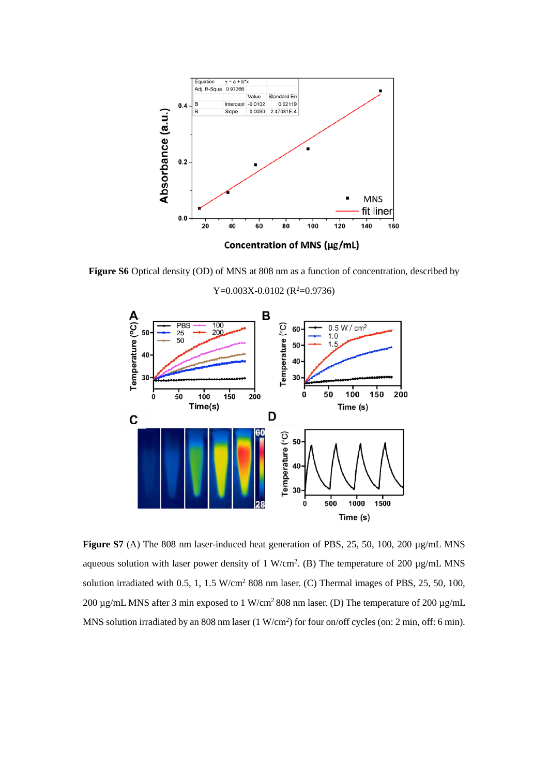

**Figure S6** Optical density (OD) of MNS at 808 nm as a function of concentration, described by



 $Y=0.003X-0.0102$  ( $R^2=0.9736$ )

**Figure S7** (A) The 808 nm laser-induced heat generation of PBS, 25, 50, 100, 200 µg/mL MNS aqueous solution with laser power density of 1 W/cm<sup>2</sup>. (B) The temperature of 200  $\mu$ g/mL MNS solution irradiated with 0.5, 1, 1.5 W/cm<sup>2</sup> 808 nm laser. (C) Thermal images of PBS, 25, 50, 100, 200  $\mu$ g/mL MNS after 3 min exposed to 1 W/cm<sup>2</sup> 808 nm laser. (D) The temperature of 200  $\mu$ g/mL MNS solution irradiated by an 808 nm laser (1 W/cm<sup>2</sup>) for four on/off cycles (on: 2 min, off: 6 min).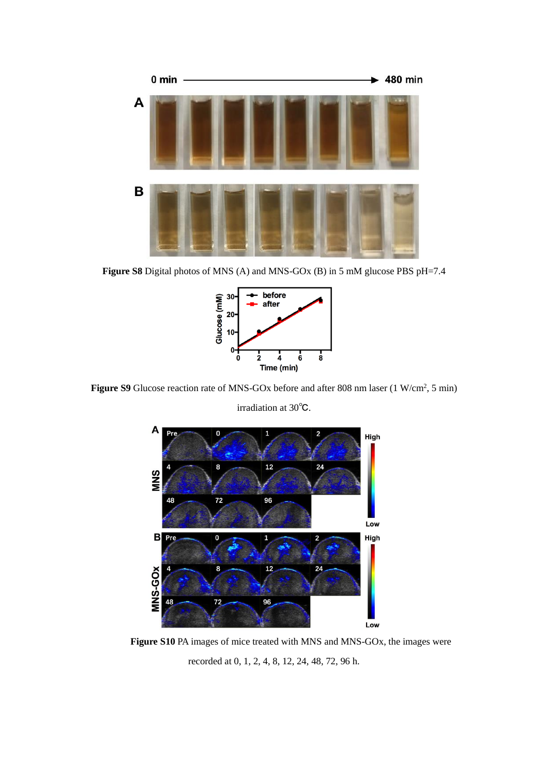

Figure S8 Digital photos of MNS (A) and MNS-GO<sub>x</sub> (B) in 5 mM glucose PBS pH=7.4



**Figure S9** Glucose reaction rate of MNS-GOx before and after 808 nm laser (1 W/cm<sup>2</sup>, 5 min)

irradiation at 30℃.



Figure S10 PA images of mice treated with MNS and MNS-GO<sub>x</sub>, the images were recorded at 0, 1, 2, 4, 8, 12, 24, 48, 72, 96 h.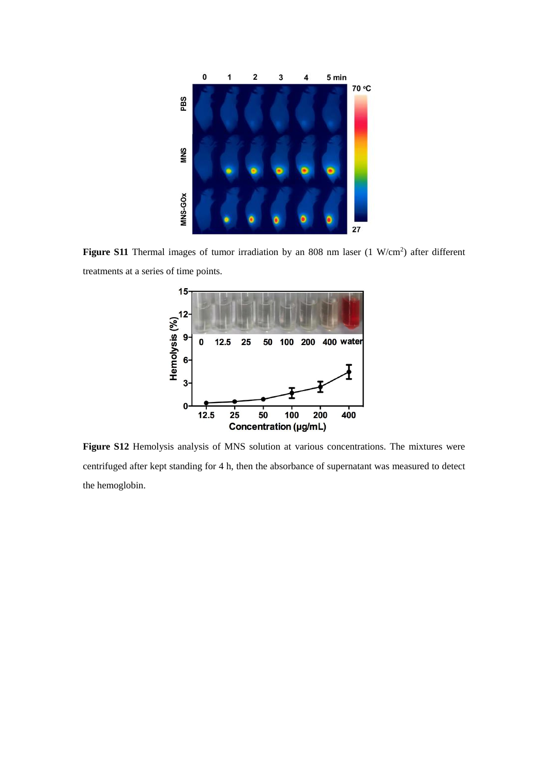

Figure S11 Thermal images of tumor irradiation by an 808 nm laser (1 W/cm<sup>2</sup>) after different treatments at a series of time points.



**Figure S12** Hemolysis analysis of MNS solution at various concentrations. The mixtures were centrifuged after kept standing for 4 h, then the absorbance of supernatant was measured to detect the hemoglobin.